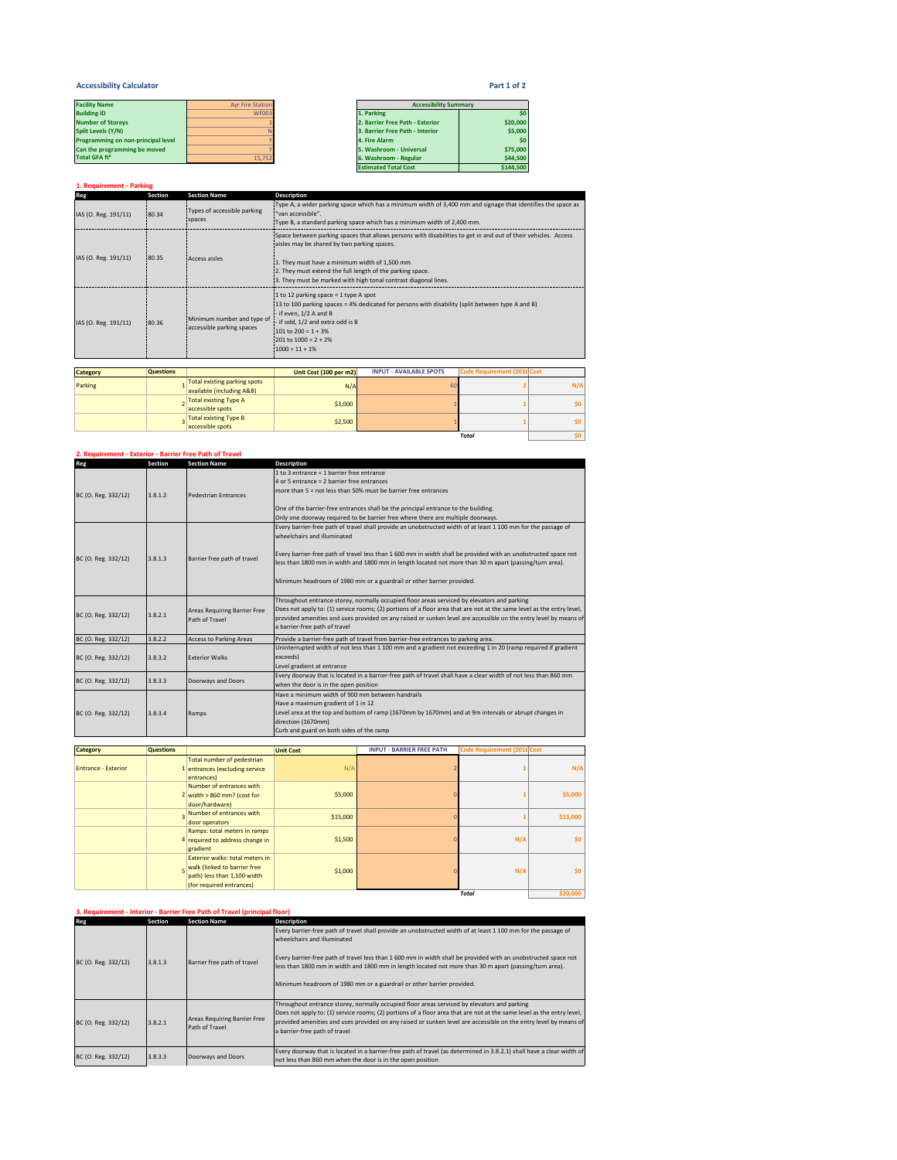## **Accessibility Calculator Part 1 of 2**

| <b>Facility Name</b>               | <b>Avr Fire Station</b> | <b>Accessibility Summary</b>    |          |  |
|------------------------------------|-------------------------|---------------------------------|----------|--|
| <b>Building ID</b>                 | WF003                   | 1. Parking                      | \$0      |  |
| <b>Number of Storevs</b>           |                         | 2. Barrier Free Path - Exterior | \$20,000 |  |
| Split Levels (Y/N)                 |                         | 3. Barrier Free Path - Interior | \$5,000  |  |
| Programming on non-principal level |                         | 4. Fire Alarm                   | \$0      |  |
| Can the programming be moved       |                         | 5. Washroom - Universal         | \$75,000 |  |
| Total GFA ft <sup>2</sup>          | 15.752                  | 6. Washroom - Regular           | \$44,500 |  |

| <b>Facility Name</b>               | <b>Avr Fire Station</b> | <b>Accessibility Summary</b>    |           |
|------------------------------------|-------------------------|---------------------------------|-----------|
| <b>Building ID</b>                 | <b>WF003</b>            | 1. Parking                      | \$0       |
| <b>Number of Storeys</b>           |                         | 2. Barrier Free Path - Exterior | \$20,000  |
| Split Levels (Y/N)                 |                         | 3. Barrier Free Path - Interior | \$5,000   |
| Programming on non-principal level |                         | 4. Fire Alarm                   | \$0       |
| Can the programming be moved       |                         | 5. Washroom - Universal         | \$75,000  |
| Total GFA ft <sup>2</sup>          | 15.752                  | 6. Washroom - Regular           | \$44,500  |
|                                    |                         | <b>Estimated Total Cost</b>     | \$144,500 |

| 1. Requirement - Parking |                  |                                                         |                                                                                                                                                                                                                                                                                         |                                                                                                                                                                                         |                             |     |  |
|--------------------------|------------------|---------------------------------------------------------|-----------------------------------------------------------------------------------------------------------------------------------------------------------------------------------------------------------------------------------------------------------------------------------------|-----------------------------------------------------------------------------------------------------------------------------------------------------------------------------------------|-----------------------------|-----|--|
| Reg                      | <b>Section</b>   | <b>Section Name</b>                                     | <b>Description</b>                                                                                                                                                                                                                                                                      |                                                                                                                                                                                         |                             |     |  |
| IAS (O. Reg. 191/11)     | 80.34            | Types of accessible parking<br>spaces                   | "van accessible".                                                                                                                                                                                                                                                                       | Type A, a wider parking space which has a minimum width of 3,400 mm and signage that identifies the space as<br>Type B, a standard parking space which has a minimum width of 2,400 mm. |                             |     |  |
| IAS (O. Reg. 191/11)     | 80.35            | Access aisles                                           | aisles may be shared by two parking spaces.<br>1. They must have a minimum width of 1,500 mm.<br>2. They must extend the full length of the parking space.                                                                                                                              | Space between parking spaces that allows persons with disabilities to get in and out of their vehicles. Access<br>3. They must be marked with high tonal contrast diagonal lines.       |                             |     |  |
| IAS (O. Reg. 191/11)     | 80.36            | Minimum number and type of<br>accessible parking spaces | $\pm 1$ to 12 parking space = 1 type A spot<br>13 to 100 parking spaces = 4% dedicated for persons with disability (split between type A and B)<br>- if even, 1/2 A and B<br>- If odd, 1/2 and extra odd is B<br>101 to $200 = 1 + 3%$<br>$201$ to $1000 = 2 + 2%$<br>$1000 = 11 + 1\%$ |                                                                                                                                                                                         |                             |     |  |
|                          |                  |                                                         |                                                                                                                                                                                                                                                                                         |                                                                                                                                                                                         |                             |     |  |
| <b>Category</b>          | <b>Questions</b> |                                                         | Unit Cost (100 per m2)                                                                                                                                                                                                                                                                  | <b>INPUT - AVAILABLE SPOTS</b>                                                                                                                                                          | Code Requirement (2016 Cost |     |  |
| Darking                  |                  | <b>Total existing parking spots</b>                     | NIA                                                                                                                                                                                                                                                                                     | 60                                                                                                                                                                                      |                             | NI/ |  |

| Parking | <b>Total existing parking spots</b><br>available (including A&B) | N/A     | 60 |              | N/f |
|---------|------------------------------------------------------------------|---------|----|--------------|-----|
|         | <b>Total existing Type A</b><br>accessible spots                 | \$3,000 |    |              | ¢٨  |
|         | <b>Total existing Type B</b><br>accessible spots                 | \$2,500 |    |              | ¢۵  |
|         |                                                                  |         |    | <b>Total</b> |     |

**Description**

#### **2. Requirement - Exterior - Barrier Free Path of Travel Reg Section Section Name**

| BC (O. Reg. 332/12) | 3.8.1.2 | <b>Pedestrian Entrances</b>                           | 1 to 3 entrance = 1 barrier free entrance<br>4 or 5 entrance = 2 barrier free entrances<br>more than $5 = not$ less than $50\%$ must be barrier free entrances                                                                                                                                                                                                                                                                                    |
|---------------------|---------|-------------------------------------------------------|---------------------------------------------------------------------------------------------------------------------------------------------------------------------------------------------------------------------------------------------------------------------------------------------------------------------------------------------------------------------------------------------------------------------------------------------------|
|                     |         |                                                       | One of the barrier-free entrances shall be the principal entrance to the building.<br>Only one doorway required to be barrier free where there are multiple doorways.                                                                                                                                                                                                                                                                             |
| BC (O. Reg. 332/12) | 3.8.1.3 | Barrier free path of travel                           | Every barrier-free path of travel shall provide an unobstructed width of at least 1 100 mm for the passage of<br>wheelchairs and illuminated<br>Every barrier-free path of travel less than 1 600 mm in width shall be provided with an unobstructed space not<br>less than 1800 mm in width and 1800 mm in length located not more than 30 m apart (passing/turn area).<br>Minimum headroom of 1980 mm or a guardrail or other barrier provided. |
| BC (O. Reg. 332/12) | 3.8.2.1 | <b>Areas Requiring Barrier Free</b><br>Path of Travel | Throughout entrance storey, normally occupied floor areas serviced by elevators and parking<br>Does not apply to: (1) service rooms; (2) portions of a floor area that are not at the same level as the entry level,<br>provided amenities and uses provided on any raised or sunken level are accessible on the entry level by means of<br>a barrier-free path of travel                                                                         |
| BC (O. Reg. 332/12) | 3.8.2.2 | <b>Access to Parking Areas</b>                        | Provide a barrier-free path of travel from barrier-free entrances to parking area.                                                                                                                                                                                                                                                                                                                                                                |
| BC (O. Reg. 332/12) | 3.8.3.2 | <b>Fxterior Walks</b>                                 | Uninterrupted width of not less than 1 100 mm and a gradient not exceeding 1 in 20 (ramp required if gradient<br>exceeds)<br>Level gradient at entrance                                                                                                                                                                                                                                                                                           |
| BC (O. Reg. 332/12) | 3.8.3.3 | Doorways and Doors                                    | Every doorway that is located in a barrier-free path of travel shall have a clear width of not less than 860 mm<br>when the door is in the open position                                                                                                                                                                                                                                                                                          |
| BC (O. Reg. 332/12) | 3.8.3.4 | Ramps                                                 | Have a minimum width of 900 mm between handrails<br>Have a maximum gradient of 1 in 12<br>Level area at the top and bottom of ramp (1670mm by 1670mm) and at 9m intervals or abrupt changes in<br>direction (1670mm)<br>Curb and guard on both sides of the ramp                                                                                                                                                                                  |

| Category                   | <b>Questions</b> |                                                                                                                            | <b>Unit Cost</b> | <b>INPUT - BARRIER FREE PATH</b> | Code Requirement (2016 Cost |          |
|----------------------------|------------------|----------------------------------------------------------------------------------------------------------------------------|------------------|----------------------------------|-----------------------------|----------|
| <b>Entrance - Exterior</b> |                  | Total number of pedestrian<br>1 entrances (excluding service<br>entrances)                                                 | N/A              |                                  |                             | N/A      |
|                            |                  | Number of entrances with<br>2 width $>860$ mm? (cost for<br>door/hardware)                                                 | \$5,000          |                                  |                             | \$5,000  |
|                            |                  | Number of entrances with<br>door operators                                                                                 | \$15,000         |                                  |                             | \$15,000 |
|                            |                  | Ramps: total meters in ramps<br>4 required to address change in<br>eradient                                                | \$1,500          |                                  | N/A                         | \$0      |
|                            |                  | Exterior walks: total meters in<br>walk (linked to barrier free<br>path) less than 1,100 width<br>(for required entrances) | \$1,000          |                                  | N/A                         | \$0      |
|                            |                  |                                                                                                                            |                  |                                  | <b>Total</b>                | \$20,000 |

## **3. Requirement - Interior - Barrier Free Path of Travel (principal floor)**

| Reg                 | Section | <b>Section Name</b>                            | <b>Description</b>                                                                                                                                                                                                                                                                                                                                                                                                                                |
|---------------------|---------|------------------------------------------------|---------------------------------------------------------------------------------------------------------------------------------------------------------------------------------------------------------------------------------------------------------------------------------------------------------------------------------------------------------------------------------------------------------------------------------------------------|
| BC (O. Reg. 332/12) | 3.8.1.3 | Barrier free path of travel                    | Every barrier-free path of travel shall provide an unobstructed width of at least 1 100 mm for the passage of<br>wheelchairs and illuminated<br>Every barrier-free path of travel less than 1 600 mm in width shall be provided with an unobstructed space not<br>less than 1800 mm in width and 1800 mm in length located not more than 30 m apart (passing/turn area).<br>Minimum headroom of 1980 mm or a guardrail or other barrier provided. |
| BC (O. Reg. 332/12) | 3.8.2.1 | Areas Requiring Barrier Free<br>Path of Travel | Throughout entrance storey, normally occupied floor areas serviced by elevators and parking<br>Does not apply to: (1) service rooms; (2) portions of a floor area that are not at the same level as the entry level,<br>provided amenities and uses provided on any raised or sunken level are accessible on the entry level by means of<br>a barrier-free path of travel                                                                         |
| BC (O. Reg. 332/12) | 3.8.3.3 | Doorways and Doors                             | Every doorway that is located in a barrier-free path of travel (as determined in 3.8.2.1) shall have a clear width of<br>not less than 860 mm when the door is in the open position                                                                                                                                                                                                                                                               |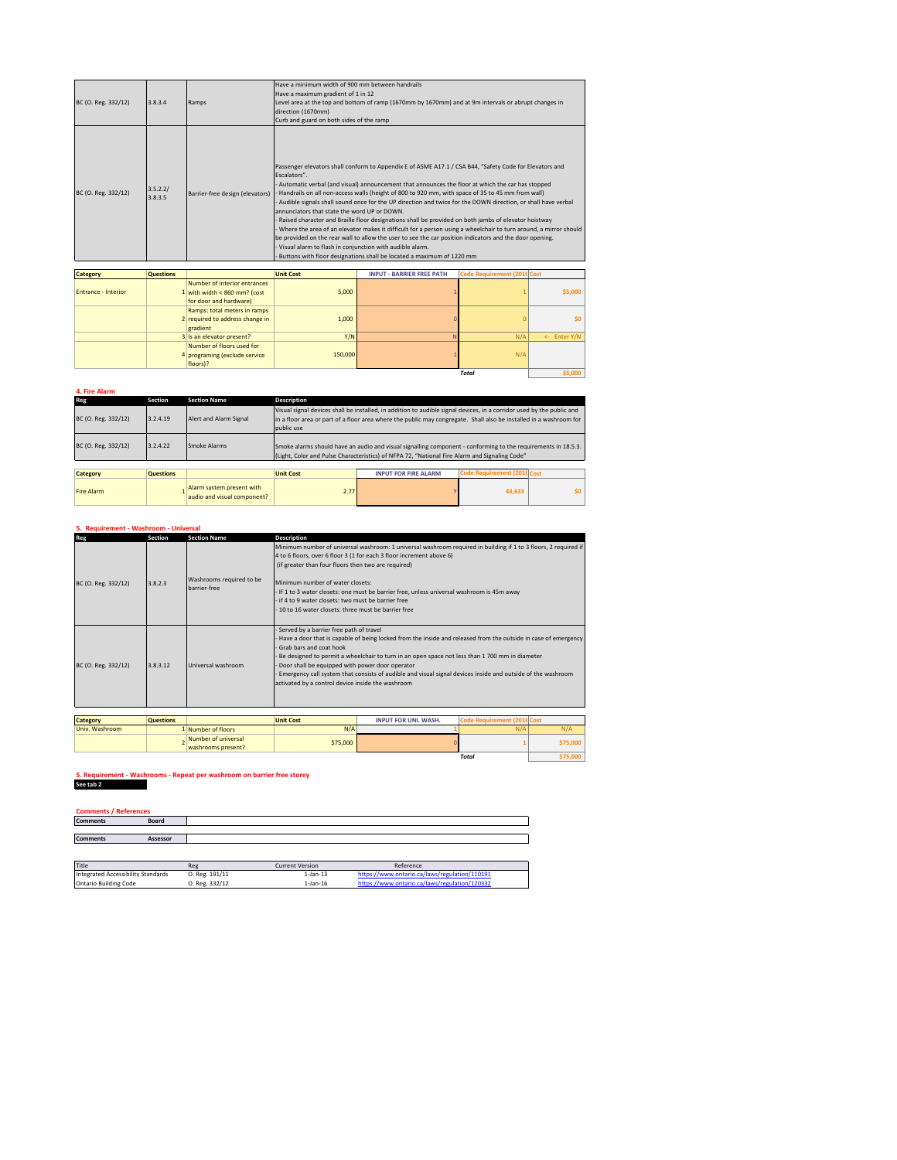| BC (O. Reg. 332/12)<br>3.8.3.4             | Ramps                           | Have a minimum width of 900 mm between handrails<br>Have a maximum gradient of 1 in 12<br>Level area at the top and bottom of ramp (1670mm by 1670mm) and at 9m intervals or abrupt changes in<br>direction (1670mm)<br>Curb and guard on both sides of the ramp                                                                                                                                                                                                                                                                                                                                                                                                                                                                                                                                                                                                                                                                                                            |
|--------------------------------------------|---------------------------------|-----------------------------------------------------------------------------------------------------------------------------------------------------------------------------------------------------------------------------------------------------------------------------------------------------------------------------------------------------------------------------------------------------------------------------------------------------------------------------------------------------------------------------------------------------------------------------------------------------------------------------------------------------------------------------------------------------------------------------------------------------------------------------------------------------------------------------------------------------------------------------------------------------------------------------------------------------------------------------|
| 3.5.2.2/<br>BC (O. Reg. 332/12)<br>3.8.3.5 | Barrier-free design (elevators) | Passenger elevators shall conform to Appendix E of ASME A17.1 / CSA B44, "Safety Code for Elevators and<br>Escalators".<br>Automatic verbal (and visual) announcement that announces the floor at which the car has stopped<br>Handrails on all non-access walls (height of 800 to 920 mm, with space of 35 to 45 mm from wall)<br>Audible signals shall sound once for the UP direction and twice for the DOWN direction, or shall have verbal<br>annunciators that state the word UP or DOWN.<br>Raised character and Braille floor designations shall be provided on both jambs of elevator hoistway<br>Where the area of an elevator makes it difficult for a person using a wheelchair to turn around, a mirror should<br>be provided on the rear wall to allow the user to see the car position indicators and the door opening.<br>Visual alarm to flash in conjunction with audible alarm.<br>Buttons with floor designations shall be located a maximum of 1220 mm |

| <b>Category</b>            | <b>Questions</b> |                                                                                        | <b>Unit Cost</b> | <b>INPUT - BARRIER FREE PATH</b> | Code Requirement (2016 Cost |              |
|----------------------------|------------------|----------------------------------------------------------------------------------------|------------------|----------------------------------|-----------------------------|--------------|
| <b>Entrance - Interior</b> |                  | Number of interior entrances<br>1 with width < 860 mm? (cost<br>for door and hardware) | 5.000            |                                  |                             | \$5,000      |
|                            |                  | Ramps: total meters in ramps<br>2 required to address change in<br>gradient            | 1,000            |                                  |                             | \$0          |
|                            |                  | 3 Is an elevator present?                                                              | Y/N              |                                  | N/A                         | <- Enter Y/N |
|                            |                  | Number of floors used for<br>4 programing (exclude service<br>floors)?                 | 150,000          |                                  | N/A                         |              |
| Total                      |                  |                                                                                        |                  |                                  |                             |              |

## **4. Fire Alarm**

| Reg                 | <b>Section</b>   | <b>Section Name</b>                                      | <b>Description</b>                                                                                                                                                                                                                                        |                             |                             |     |
|---------------------|------------------|----------------------------------------------------------|-----------------------------------------------------------------------------------------------------------------------------------------------------------------------------------------------------------------------------------------------------------|-----------------------------|-----------------------------|-----|
| BC (O. Reg. 332/12) | 3.2.4.19         | Alert and Alarm Signal                                   | Visual signal devices shall be installed, in addition to audible signal devices, in a corridor used by the public and<br>in a floor area or part of a floor area where the public may congregate. Shall also be installed in a washroom for<br>public use |                             |                             |     |
| BC (O. Reg. 332/12) | 3.2.4.22         | Smoke Alarms                                             | Smoke alarms should have an audio and visual signalling component - conforming to the requirements in 18.5.3.<br>(Light, Color and Pulse Characteristics) of NFPA 72, "National Fire Alarm and Signaling Code"                                            |                             |                             |     |
|                     |                  |                                                          |                                                                                                                                                                                                                                                           |                             |                             |     |
| <b>Category</b>     | <b>Questions</b> |                                                          | <b>Unit Cost</b>                                                                                                                                                                                                                                          | <b>INPUT FOR FIRE ALARM</b> | Code Requirement (2016 Cost |     |
| <b>Fire Alarm</b>   |                  | Alarm system present with<br>audio and visual component? | 2.77                                                                                                                                                                                                                                                      |                             | 43.633                      | \$0 |

### **5. Requirement - Washroom - Universal**

| Reg                 | Section  | <b>Section Name</b>                      | Description                                                                                                                                                                                                                                                                                                                                                                                                                                                                                                  |
|---------------------|----------|------------------------------------------|--------------------------------------------------------------------------------------------------------------------------------------------------------------------------------------------------------------------------------------------------------------------------------------------------------------------------------------------------------------------------------------------------------------------------------------------------------------------------------------------------------------|
| BC (O. Reg. 332/12) | 3.8.2.3  | Washrooms required to be<br>barrier-free | Minimum number of universal washroom: 1 universal washroom required in building if 1 to 3 floors, 2 required if<br>4 to 6 floors, over 6 floor 3 (1 for each 3 floor increment above 6)<br>(if greater than four floors then two are required)<br>Minimum number of water closets:<br>- If 1 to 3 water closets: one must be barrier free, unless universal washroom is 45m away<br>if 4 to 9 water closets: two must be barrier free<br>10 to 16 water closets: three must be barrier free                  |
| BC (O. Reg. 332/12) | 3.8.3.12 | Universal washroom                       | Served by a barrier free path of travel<br>Have a door that is capable of being locked from the inside and released from the outside in case of emergency<br>Grab bars and coat hook<br>Be designed to permit a wheelchair to turn in an open space not less than 1700 mm in diameter<br>Door shall be equipped with power door operator<br>Emergency call system that consists of audible and visual signal devices inside and outside of the washroom<br>activated by a control device inside the washroom |

| <b>Category</b> | <b>Questions</b> |                                           | <b>Unit Cost</b> | <b>INPUT FOR UNI. WASH.</b> |              |         |
|-----------------|------------------|-------------------------------------------|------------------|-----------------------------|--------------|---------|
| Univ. Washroom  |                  | 1 Number of floors                        | N/A              |                             | N/A          | N/A     |
|                 |                  | Number of universal<br>washrooms present? | \$75,000         |                             |              | 375,000 |
|                 |                  |                                           |                  |                             | <b>Total</b> |         |

**5. Requirement - Washrooms - Repeat per washroom on barrier free storey S. Requirement - Wash See tab 2** 

| <b>Comments / References</b> |          |  |
|------------------------------|----------|--|
| <b>Comments</b>              | Board    |  |
|                              |          |  |
| <b>Comments</b>              | Assessor |  |
|                              |          |  |

| Title                              | Reg            | <b>Current Version</b> | Reference                                     |
|------------------------------------|----------------|------------------------|-----------------------------------------------|
| Integrated Accessibility Standards | O. Reg. 191/11 | 1-Jan-13               | https://www.ontario.ca/laws/regulation/110191 |
| <b>Ontario Building Code</b>       | O. Reg. 332/12 | 1-Jan-16               | https://www.ontario.ca/laws/regulation/120332 |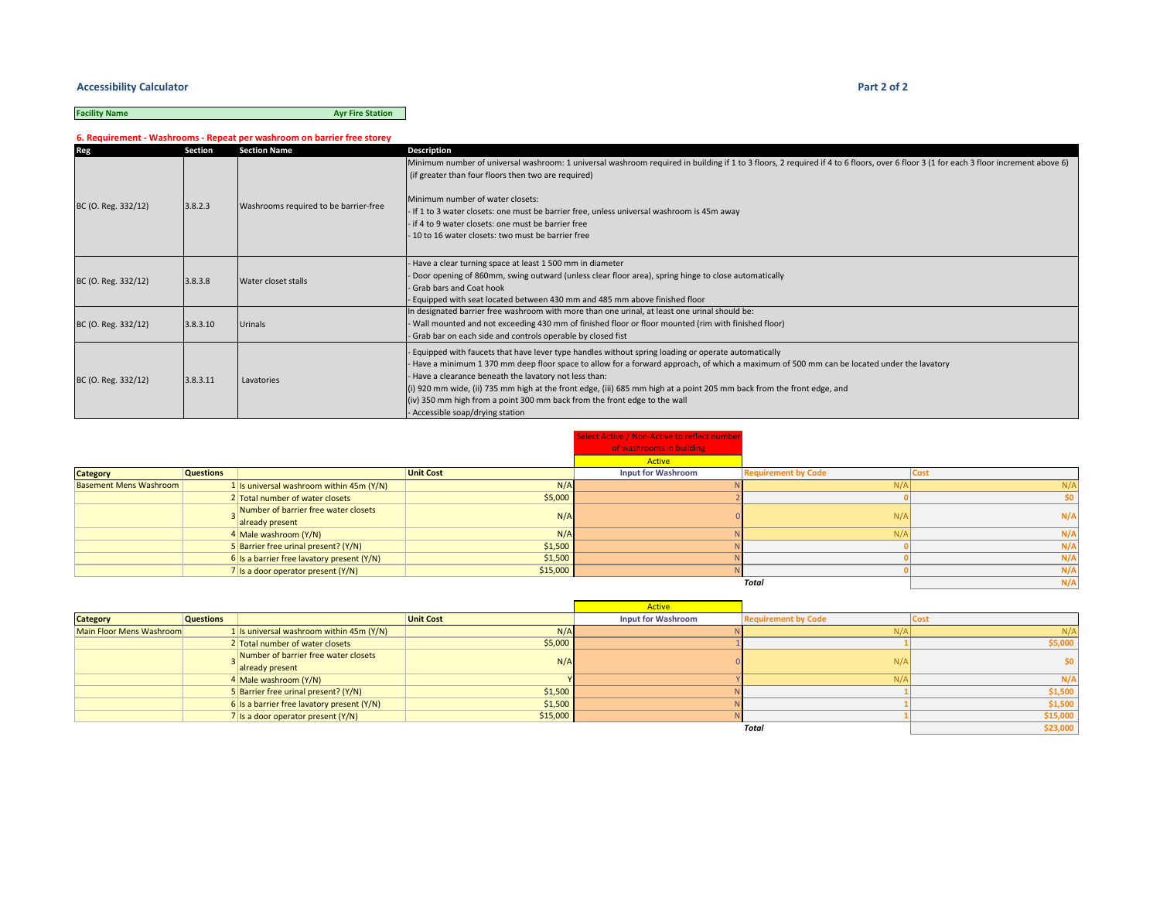#### **Accessibility Calculator Part 2 of 2**

# **Facility Name Ayr Fire Station**

**6. Requirement - Washrooms - Repeat per washroom on barrier free storey**

| Reg                 | Section  | <b>Section Name</b>                   | Description                                                                                                                                                                                                                                                                                                                                                                                                                                                                                                                                          |
|---------------------|----------|---------------------------------------|------------------------------------------------------------------------------------------------------------------------------------------------------------------------------------------------------------------------------------------------------------------------------------------------------------------------------------------------------------------------------------------------------------------------------------------------------------------------------------------------------------------------------------------------------|
|                     |          |                                       | Minimum number of universal washroom: 1 universal washroom required in building if 1 to 3 floors, 2 required if 4 to 6 floors, over 6 floor 3 (1 for each 3 floor increment above 6)<br>(if greater than four floors then two are required)                                                                                                                                                                                                                                                                                                          |
| BC (O. Reg. 332/12) | 3.8.2.3  | Washrooms required to be barrier-free | Minimum number of water closets:<br>- If 1 to 3 water closets: one must be barrier free, unless universal washroom is 45m away                                                                                                                                                                                                                                                                                                                                                                                                                       |
|                     |          |                                       | - if 4 to 9 water closets: one must be barrier free                                                                                                                                                                                                                                                                                                                                                                                                                                                                                                  |
|                     |          |                                       | 10 to 16 water closets: two must be barrier free                                                                                                                                                                                                                                                                                                                                                                                                                                                                                                     |
| BC (O. Reg. 332/12) | 3.8.3.8  | Water closet stalls                   | - Have a clear turning space at least 1 500 mm in diameter<br>Door opening of 860mm, swing outward (unless clear floor area), spring hinge to close automatically<br>- Grab bars and Coat hook<br>Equipped with seat located between 430 mm and 485 mm above finished floor                                                                                                                                                                                                                                                                          |
| BC (O. Reg. 332/12) | 3.8.3.10 | <b>Urinals</b>                        | In designated barrier free washroom with more than one urinal, at least one urinal should be:<br>Wall mounted and not exceeding 430 mm of finished floor or floor mounted (rim with finished floor)<br>Grab bar on each side and controls operable by closed fist                                                                                                                                                                                                                                                                                    |
| BC (O. Reg. 332/12) | 3.8.3.11 | Lavatories                            | Equipped with faucets that have lever type handles without spring loading or operate automatically<br>- Have a minimum 1370 mm deep floor space to allow for a forward approach, of which a maximum of 500 mm can be located under the lavatory<br>- Have a clearance beneath the lavatory not less than:<br>(i) 920 mm wide, (ii) 735 mm high at the front edge, (iii) 685 mm high at a point 205 mm back from the front edge, and<br>(iv) 350 mm high from a point 300 mm back from the front edge to the wall<br>- Accessible soap/drying station |

|                               |                  |                                                         |                  | Select Active / Non-Active to reflect number<br>of washrooms in building |                            |             |
|-------------------------------|------------------|---------------------------------------------------------|------------------|--------------------------------------------------------------------------|----------------------------|-------------|
|                               |                  |                                                         |                  | Active                                                                   |                            |             |
| <b>Category</b>               | <b>Questions</b> |                                                         | <b>Unit Cost</b> | <b>Input for Washroom</b>                                                | <b>Requirement by Code</b> | <b>Cost</b> |
| <b>Basement Mens Washroom</b> |                  | 1 Is universal washroom within 45m $(Y/N)$              | N/A              |                                                                          | N/A                        |             |
|                               |                  | 2 Total number of water closets                         | \$5,000          |                                                                          |                            |             |
|                               |                  | Number of barrier free water closets<br>already present | N/A              |                                                                          | N/A                        | N/A         |
|                               |                  | 4 Male washroom (Y/N)                                   | N/A              |                                                                          | N/A                        | N/A         |
|                               |                  | 5 Barrier free urinal present? (Y/N)                    | \$1,500          |                                                                          |                            | N/A         |
|                               |                  | $6$ Is a barrier free lavatory present (Y/N)            | \$1,500          |                                                                          |                            | N/A         |
|                               |                  | $7$ Is a door operator present (Y/N)                    | \$15,000         |                                                                          |                            | N/A         |
|                               |                  |                                                         |                  |                                                                          | Total                      | N/A         |

|                          |                  |                                                         |                  | <b>Active</b>             |                            |          |
|--------------------------|------------------|---------------------------------------------------------|------------------|---------------------------|----------------------------|----------|
| <b>Category</b>          | <b>Questions</b> |                                                         | <b>Unit Cost</b> | <b>Input for Washroom</b> | <b>Requirement by Code</b> | COST     |
| Main Floor Mens Washroom |                  | 1 Is universal washroom within 45m (Y/N)                | N/A              |                           | N/A                        | N/A      |
|                          |                  | 2 Total number of water closets                         | \$5,000          |                           |                            | \$5,000  |
|                          |                  | Number of barrier free water closets<br>already present | N/A              |                           | $N/\rho$                   |          |
|                          |                  | 4 Male washroom (Y/N)                                   |                  |                           | $N/\rho$                   | N/A      |
|                          |                  | 5 Barrier free urinal present? (Y/N)                    | \$1,500          |                           |                            | \$1,500  |
|                          |                  | 6 Is a barrier free lavatory present $(Y/N)$            | \$1,500          |                           |                            | \$1,500  |
|                          |                  | 7 Is a door operator present $(Y/N)$                    | \$15,000         |                           |                            | \$15,000 |
|                          |                  |                                                         |                  |                           | Total                      | \$23,000 |